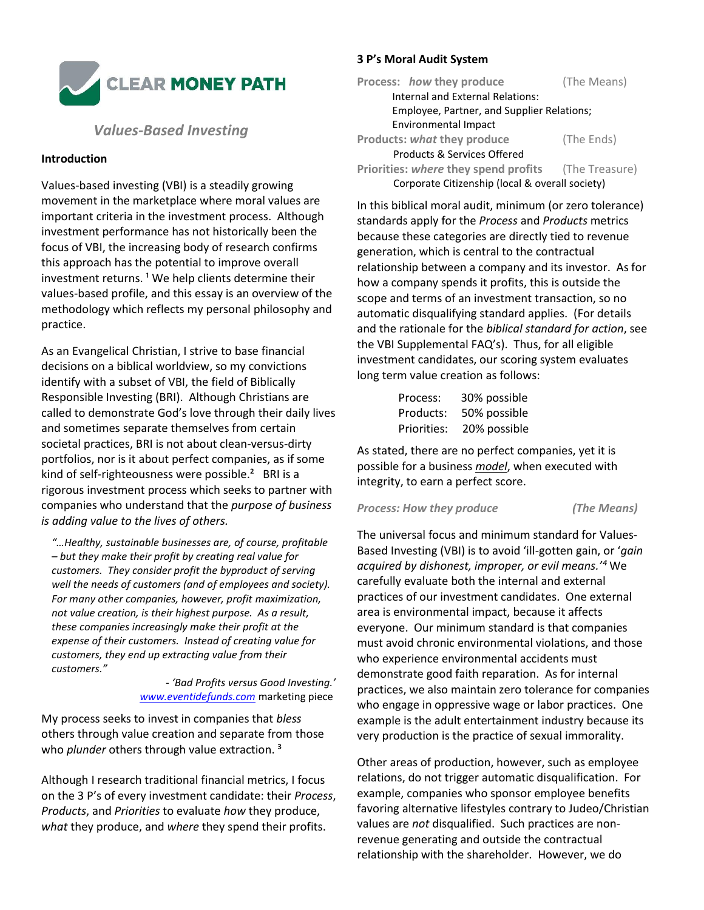

# *Values-Based Investing*

# **Introduction**

Values-based investing (VBI) is a steadily growing movement in the marketplace where moral values are important criteria in the investment process. Although investment performance has not historically been the focus of VBI, the increasing body of research confirms this approach has the potential to improve overall investment returns.<sup>1</sup> We help clients determine their values-based profile, and this essay is an overview of the methodology which reflects my personal philosophy and practice.

As an Evangelical Christian, I strive to base financial decisions on a biblical worldview, so my convictions identify with a subset of VBI, the field of Biblically Responsible Investing (BRI). Although Christians are called to demonstrate God's love through their daily lives and sometimes separate themselves from certain societal practices, BRI is not about clean-versus-dirty portfolios, nor is it about perfect companies, as if some kind of self-righteousness were possible.²BRI is a rigorous investment process which seeks to partner with companies who understand that the *purpose of business is adding value to the lives of others.*

*"…Healthy, sustainable businesses are, of course, profitable – but they make their profit by creating real value for customers. They consider profit the byproduct of serving well the needs of customers (and of employees and society). For many other companies, however, profit maximization, not value creation, is their highest purpose. As a result, these companies increasingly make their profit at the expense of their customers. Instead of creating value for customers, they end up extracting value from their customers."* 

#### *- 'Bad Profits versus Good Investing.' [www.eventidefunds.com](http://www.eventidefunds.com/)* marketing piece

My process seeks to invest in companies that *bless* others through value creation and separate from those who *plunder* others through value extraction.<sup>3</sup>

Although I research traditional financial metrics, I focus on the 3 P's of every investment candidate: their *Process*, *Products*, and *Priorities* to evaluate *how* they produce, *what* they produce, and *where* they spend their profits.

# **3 P's Moral Audit System**

| Process: how they produce                                  | (The Means) |  |
|------------------------------------------------------------|-------------|--|
| Internal and External Relations:                           |             |  |
| Employee, Partner, and Supplier Relations;                 |             |  |
| Environmental Impact                                       |             |  |
| <b>Products: what they produce</b>                         | (The Ends)  |  |
| Products & Services Offered                                |             |  |
| <b>Priorities: where they spend profits</b> (The Treasure) |             |  |
| Corporate Citizenship (local & overall society)            |             |  |

In this biblical moral audit, minimum (or zero tolerance) standards apply for the *Process* and *Products* metrics because these categories are directly tied to revenue generation, which is central to the contractual relationship between a company and its investor. As for how a company spends it profits, this is outside the scope and terms of an investment transaction, so no automatic disqualifying standard applies. (For details and the rationale for the *biblical standard for action*, see the VBI Supplemental FAQ's). Thus, for all eligible investment candidates, our scoring system evaluates long term value creation as follows:

| Process:    | 30% possible |
|-------------|--------------|
| Products:   | 50% possible |
| Priorities: | 20% possible |

As stated, there are no perfect companies, yet it is possible for a business *model*, when executed with integrity, to earn a perfect score.

## *Process: How they produce (The Means)*

The universal focus and minimum standard for Values-Based Investing (VBI) is to avoid 'ill-gotten gain, or '*gain acquired by dishonest, improper, or evil means.'⁴* We carefully evaluate both the internal and external practices of our investment candidates. One external area is environmental impact, because it affects everyone. Our minimum standard is that companies must avoid chronic environmental violations, and those who experience environmental accidents must demonstrate good faith reparation. As for internal practices, we also maintain zero tolerance for companies who engage in oppressive wage or labor practices. One example is the adult entertainment industry because its very production is the practice of sexual immorality.

Other areas of production, however, such as employee relations, do not trigger automatic disqualification. For example, companies who sponsor employee benefits favoring alternative lifestyles contrary to Judeo/Christian values are *not* disqualified. Such practices are nonrevenue generating and outside the contractual relationship with the shareholder. However, we do